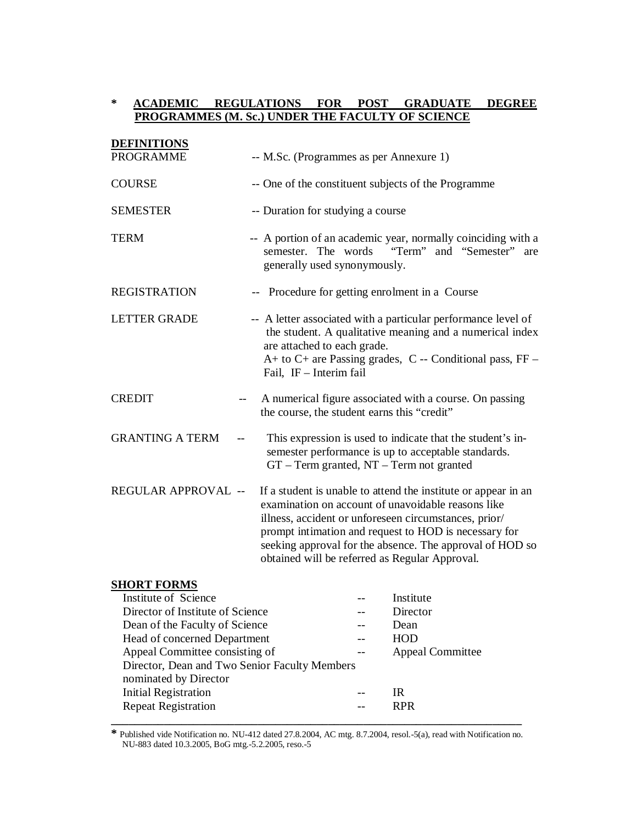## **\* ACADEMIC REGULATIONS FOR POST GRADUATE DEGREE PROGRAMMES (M. Sc.) UNDER THE FACULTY OF SCIENCE**

| <b>DEFINITIONS</b>                                                             |     |                                                                                                                                                                                                                                                                                                                                                      |
|--------------------------------------------------------------------------------|-----|------------------------------------------------------------------------------------------------------------------------------------------------------------------------------------------------------------------------------------------------------------------------------------------------------------------------------------------------------|
| <b>PROGRAMME</b>                                                               |     | -- M.Sc. (Programmes as per Annexure 1)                                                                                                                                                                                                                                                                                                              |
| <b>COURSE</b>                                                                  |     | -- One of the constituent subjects of the Programme                                                                                                                                                                                                                                                                                                  |
| <b>SEMESTER</b>                                                                |     | -- Duration for studying a course                                                                                                                                                                                                                                                                                                                    |
| <b>TERM</b>                                                                    |     | -- A portion of an academic year, normally coinciding with a<br>"Term" and "Semester"<br>semester. The words<br>are<br>generally used synonymously.                                                                                                                                                                                                  |
| <b>REGISTRATION</b>                                                            |     | -- Procedure for getting enrolment in a Course                                                                                                                                                                                                                                                                                                       |
| <b>LETTER GRADE</b>                                                            |     | -- A letter associated with a particular performance level of<br>the student. A qualitative meaning and a numerical index<br>are attached to each grade.<br>A+ to C+ are Passing grades, C -- Conditional pass, FF -<br>Fail, IF - Interim fail                                                                                                      |
| <b>CREDIT</b>                                                                  |     | A numerical figure associated with a course. On passing<br>the course, the student earns this "credit"                                                                                                                                                                                                                                               |
| <b>GRANTING A TERM</b>                                                         | $-$ | This expression is used to indicate that the student's in-<br>semester performance is up to acceptable standards.<br>GT - Term granted, NT - Term not granted                                                                                                                                                                                        |
| REGULAR APPROVAL --                                                            |     | If a student is unable to attend the institute or appear in an<br>examination on account of unavoidable reasons like<br>illness, accident or unforeseen circumstances, prior/<br>prompt intimation and request to HOD is necessary for<br>seeking approval for the absence. The approval of HOD so<br>obtained will be referred as Regular Approval. |
| <b>SHORT FORMS</b><br>Institute of Science<br>Divertor of Institute of Caianas |     | Institute<br>$\sum_{\text{mean}}$                                                                                                                                                                                                                                                                                                                    |

| Institute of Science                          |  | Institute               |  |
|-----------------------------------------------|--|-------------------------|--|
| Director of Institute of Science              |  | Director                |  |
| Dean of the Faculty of Science                |  | Dean                    |  |
| Head of concerned Department                  |  | HOD                     |  |
| Appeal Committee consisting of                |  | <b>Appeal Committee</b> |  |
| Director, Dean and Two Senior Faculty Members |  |                         |  |
| nominated by Director                         |  |                         |  |
| <b>Initial Registration</b>                   |  | <b>IR</b>               |  |
| <b>Repeat Registration</b>                    |  | <b>RPR</b>              |  |
|                                               |  |                         |  |

**\*** Published vide Notification no. NU-412 dated 27.8.2004, AC mtg. 8.7.2004, resol.-5(a), read with Notification no. NU-883 dated 10.3.2005, BoG mtg.-5.2.2005, reso.-5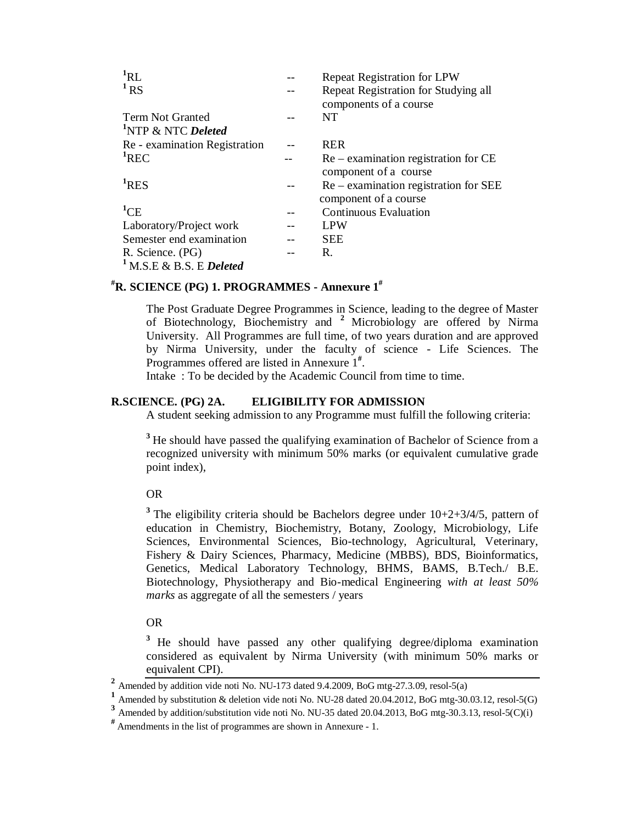| ${}^{1}RL$                          | <b>Repeat Registration for LPW</b>                             |
|-------------------------------------|----------------------------------------------------------------|
| $1$ RS                              | Repeat Registration for Studying all<br>components of a course |
| <b>Term Not Granted</b>             | NT                                                             |
| <sup>1</sup> NTP & NTC Deleted      |                                                                |
| Re - examination Registration       | <b>RER</b>                                                     |
| ${}^{1}$ REC                        | $Re -$ examination registration for $CE$                       |
|                                     | component of a course                                          |
| <sup>1</sup> RES                    | $Re -$ examination registration for SEE                        |
|                                     | component of a course                                          |
| $^1$ CE                             | <b>Continuous Evaluation</b>                                   |
| Laboratory/Project work             | LPW                                                            |
| Semester end examination            | <b>SEE</b>                                                     |
| R. Science. (PG)                    | R.                                                             |
| <sup>1</sup> M.S.E & B.S. E Deleted |                                                                |

# **#R. SCIENCE (PG) 1. PROGRAMMES - Annexure 1#**

The Post Graduate Degree Programmes in Science, leading to the degree of Master of Biotechnology, Biochemistry and **<sup>2</sup>** Microbiology are offered by Nirma University. All Programmes are full time, of two years duration and are approved by Nirma University, under the faculty of science - Life Sciences. The Programmes offered are listed in Annexure 1<sup>#</sup>.

Intake : To be decided by the Academic Council from time to time.

## **R.SCIENCE. (PG) 2A. ELIGIBILITY FOR ADMISSION**

A student seeking admission to any Programme must fulfill the following criteria:

<sup>3</sup>He should have passed the qualifying examination of Bachelor of Science from a recognized university with minimum 50% marks (or equivalent cumulative grade point index),

OR

**<sup>3</sup>**The eligibility criteria should be Bachelors degree under 10+2+3**/**4/5*,* pattern of education in Chemistry, Biochemistry, Botany, Zoology, Microbiology, Life Sciences, Environmental Sciences, Bio-technology, Agricultural, Veterinary, Fishery & Dairy Sciences, Pharmacy, Medicine (MBBS), BDS, Bioinformatics, Genetics, Medical Laboratory Technology, BHMS*,* BAMS, B.Tech./ B.E. Biotechnology, Physiotherapy and Bio-medical Engineering *with at least 50% marks* as aggregate of all the semesters / years

## OR

<sup>3</sup> He should have passed any other qualifying degree/diploma examination considered as equivalent by Nirma University (with minimum 50% marks or equivalent CPI).

**<sup>2</sup>** Amended by addition vide noti No. NU-173 dated 9.4.2009, BoG mtg-27.3.09, resol-5(a)

**<sup>1</sup>** Amended by substitution & deletion vide noti No. NU-28 dated 20.04.2012, BoG mtg-30.03.12, resol-5(G)

<sup>&</sup>lt;sup>3</sup> Amended by addition/substitution vide noti No. NU-35 dated 20.04.2013, BoG mtg-30.3.13, resol-5(C)(i)

**<sup>#</sup>** Amendments in the list of programmes are shown in Annexure - 1.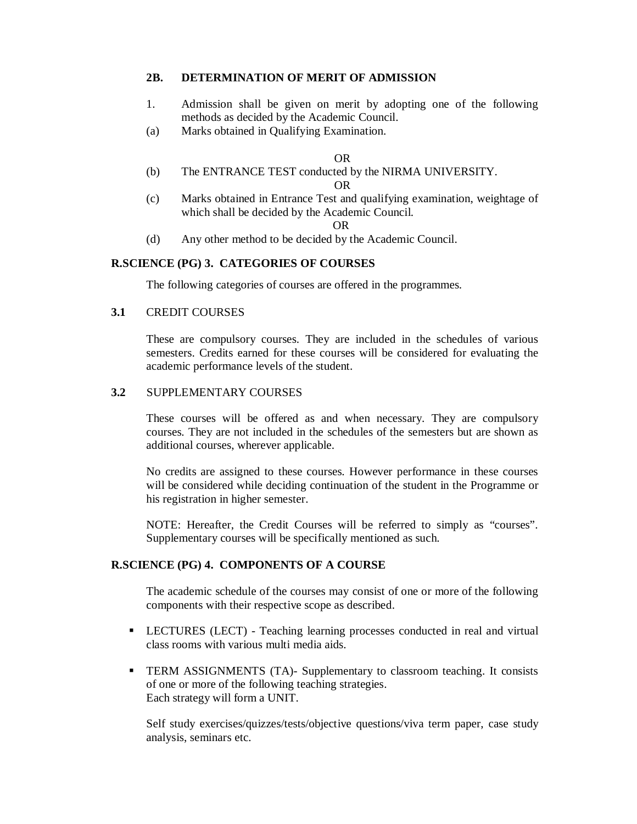## **2B. DETERMINATION OF MERIT OF ADMISSION**

- 1. Admission shall be given on merit by adopting one of the following methods as decided by the Academic Council.
- (a) Marks obtained in Qualifying Examination.

#### OR

(b) The ENTRANCE TEST conducted by the NIRMA UNIVERSITY. OR

(c) Marks obtained in Entrance Test and qualifying examination, weightage of which shall be decided by the Academic Council.

#### OR

(d) Any other method to be decided by the Academic Council.

## **R.SCIENCE (PG) 3. CATEGORIES OF COURSES**

The following categories of courses are offered in the programmes.

## **3.1** CREDIT COURSES

These are compulsory courses. They are included in the schedules of various semesters. Credits earned for these courses will be considered for evaluating the academic performance levels of the student.

## **3.2** SUPPLEMENTARY COURSES

These courses will be offered as and when necessary. They are compulsory courses. They are not included in the schedules of the semesters but are shown as additional courses, wherever applicable.

No credits are assigned to these courses. However performance in these courses will be considered while deciding continuation of the student in the Programme or his registration in higher semester.

NOTE: Hereafter, the Credit Courses will be referred to simply as "courses". Supplementary courses will be specifically mentioned as such.

## **R.SCIENCE (PG) 4. COMPONENTS OF A COURSE**

The academic schedule of the courses may consist of one or more of the following components with their respective scope as described.

- LECTURES (LECT) Teaching learning processes conducted in real and virtual class rooms with various multi media aids.
- TERM ASSIGNMENTS (TA)- Supplementary to classroom teaching. It consists of one or more of the following teaching strategies. Each strategy will form a UNIT.

Self study exercises/quizzes/tests/objective questions/viva term paper, case study analysis, seminars etc.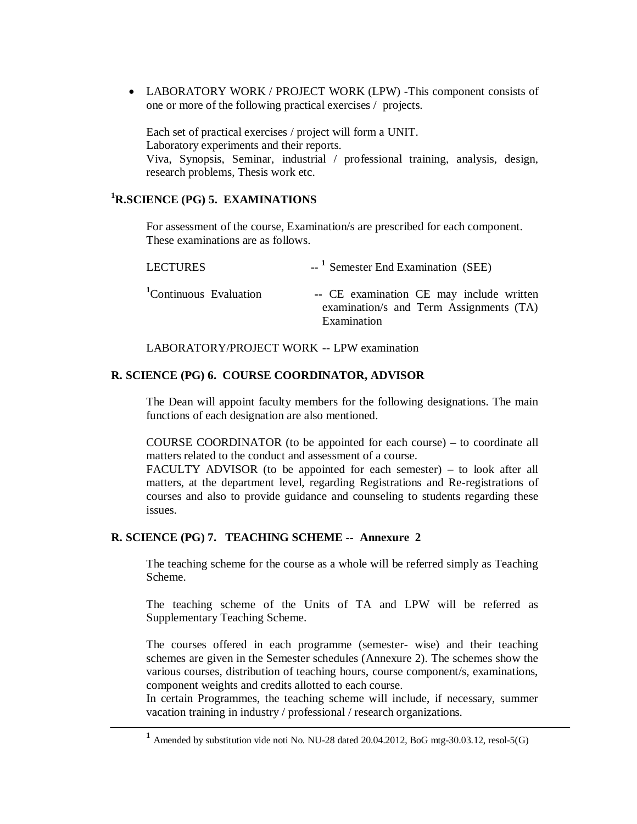LABORATORY WORK / PROJECT WORK (LPW) -This component consists of one or more of the following practical exercises / projects.

Each set of practical exercises / project will form a UNIT. Laboratory experiments and their reports. Viva, Synopsis, Seminar, industrial / professional training, analysis, design, research problems, Thesis work etc.

## **<sup>1</sup>R.SCIENCE (PG) 5. EXAMINATIONS**

For assessment of the course, Examination/s are prescribed for each component. These examinations are as follows.

| <b>LECTURES</b>                    | $-$ <sup>1</sup> Semester End Examination (SEE)                                                    |
|------------------------------------|----------------------------------------------------------------------------------------------------|
| <sup>1</sup> Continuous Evaluation | -- CE examination CE may include written<br>examination/s and Term Assignments (TA)<br>Examination |

LABORATORY/PROJECT WORK -- LPW examination

## **R. SCIENCE (PG) 6. COURSE COORDINATOR, ADVISOR**

The Dean will appoint faculty members for the following designations. The main functions of each designation are also mentioned.

COURSE COORDINATOR (to be appointed for each course) **–** to coordinate all matters related to the conduct and assessment of a course.

FACULTY ADVISOR (to be appointed for each semester) – to look after all matters, at the department level, regarding Registrations and Re-registrations of courses and also to provide guidance and counseling to students regarding these issues.

## **R. SCIENCE (PG) 7. TEACHING SCHEME -- Annexure 2**

The teaching scheme for the course as a whole will be referred simply as Teaching Scheme.

The teaching scheme of the Units of TA and LPW will be referred as Supplementary Teaching Scheme.

The courses offered in each programme (semester- wise) and their teaching schemes are given in the Semester schedules (Annexure 2). The schemes show the various courses, distribution of teaching hours, course component/s, examinations, component weights and credits allotted to each course.

In certain Programmes, the teaching scheme will include, if necessary, summer vacation training in industry / professional / research organizations.

**<sup>1</sup>** Amended by substitution vide noti No. NU-28 dated 20.04.2012, BoG mtg-30.03.12, resol-5(G)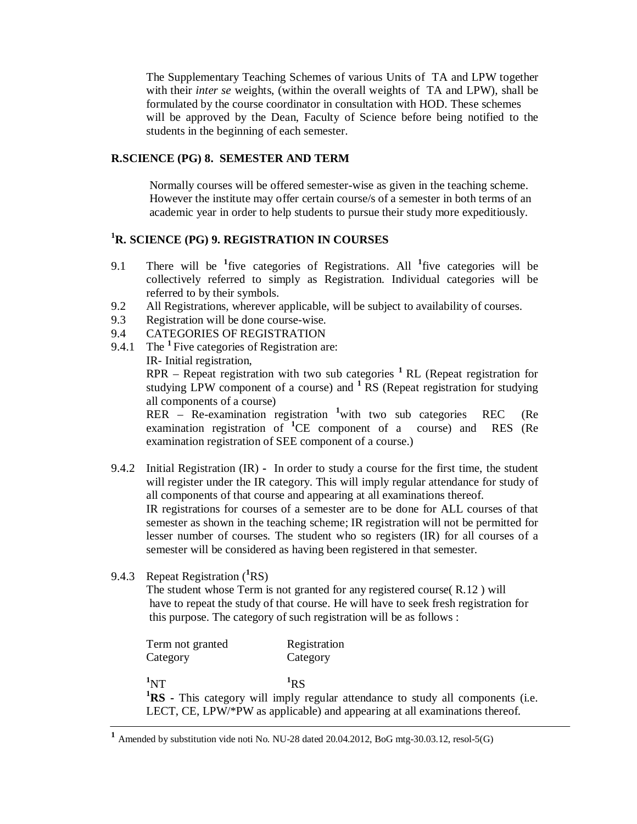The Supplementary Teaching Schemes of various Units of TA and LPW together with their *inter se* weights, (within the overall weights of TA and LPW), shall be formulated by the course coordinator in consultation with HOD. These schemes will be approved by the Dean, Faculty of Science before being notified to the students in the beginning of each semester.

## **R.SCIENCE (PG) 8. SEMESTER AND TERM**

 Normally courses will be offered semester-wise as given in the teaching scheme. However the institute may offer certain course/s of a semester in both terms of an academic year in order to help students to pursue their study more expeditiously.

## **<sup>1</sup>R. SCIENCE (PG) 9. REGISTRATION IN COURSES**

- 9.1 There will be **<sup>1</sup>** five categories of Registrations. All **<sup>1</sup>** five categories will be collectively referred to simply as Registration. Individual categories will be referred to by their symbols.
- 9.2 All Registrations, wherever applicable, will be subject to availability of courses.
- 9.3 Registration will be done course-wise.
- 9.4 CATEGORIES OF REGISTRATION
- 9.4.1 The <sup>1</sup> Five categories of Registration are:

IR- Initial registration,

RPR – Repeat registration with two sub categories **<sup>1</sup>**RL (Repeat registration for studying LPW component of a course) and **<sup>1</sup>**RS (Repeat registration for studying all components of a course)

RER – Re-examination registration <sup>1</sup>with two sub categories REC (Re examination registration of **<sup>1</sup>**CE component of a course) and RES (Re examination registration of SEE component of a course.)

- 9.4.2 Initial Registration (IR) **-** In order to study a course for the first time, the student will register under the IR category. This will imply regular attendance for study of all components of that course and appearing at all examinations thereof. IR registrations for courses of a semester are to be done for ALL courses of that semester as shown in the teaching scheme; IR registration will not be permitted for lesser number of courses. The student who so registers (IR) for all courses of a semester will be considered as having been registered in that semester.
- 9.4.3 Repeat Registration (**<sup>1</sup>**RS)

The student whose Term is not granted for any registered course( R.12 ) will have to repeat the study of that course. He will have to seek fresh registration for this purpose. The category of such registration will be as follows :

| Term not granted                                                            | Registration                                                                          |  |
|-----------------------------------------------------------------------------|---------------------------------------------------------------------------------------|--|
| Category                                                                    | Category                                                                              |  |
|                                                                             |                                                                                       |  |
| $\mathbf{1}_{\mathrm{NT}}$                                                  | $R_{\rm R}$                                                                           |  |
|                                                                             | <b>RS</b> - This category will imply regular attendance to study all components (i.e. |  |
| LECT, CE, LPW/*PW as applicable) and appearing at all examinations thereof. |                                                                                       |  |

**<sup>1</sup>** Amended by substitution vide noti No. NU-28 dated 20.04.2012, BoG mtg-30.03.12, resol-5(G)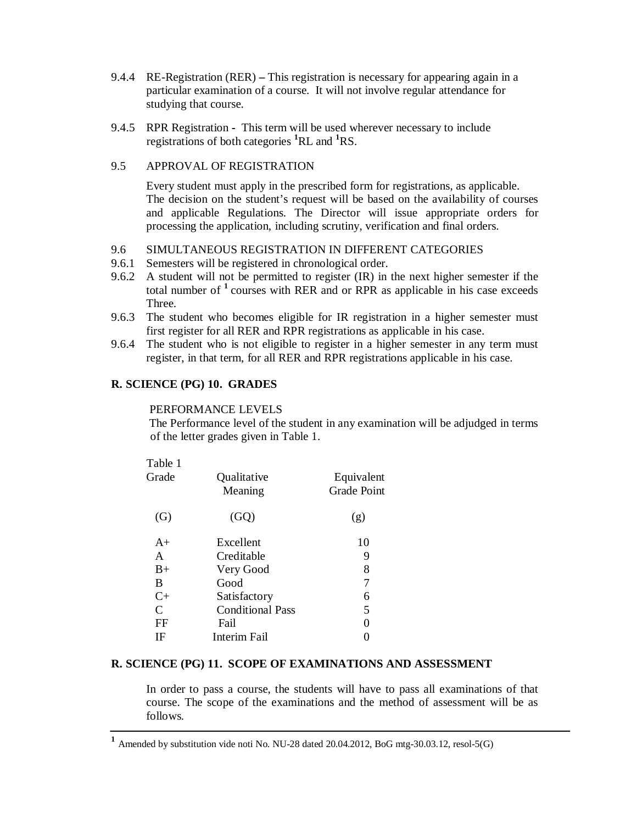- 9.4.4 RE-Registration (RER) **–** This registration is necessary for appearing again in a particular examination of a course. It will not involve regular attendance for studying that course.
- 9.4.5 RPR Registration **-** This term will be used wherever necessary to include registrations of both categories **<sup>1</sup>**RL and **<sup>1</sup>**RS.

## 9.5 APPROVAL OF REGISTRATION

Every student must apply in the prescribed form for registrations, as applicable. The decision on the student's request will be based on the availability of courses and applicable Regulations. The Director will issue appropriate orders for processing the application, including scrutiny, verification and final orders.

## 9.6 SIMULTANEOUS REGISTRATION IN DIFFERENT CATEGORIES

- 9.6.1 Semesters will be registered in chronological order.
- 9.6.2 A student will not be permitted to register (IR) in the next higher semester if the total number of **<sup>1</sup>**courses with RER and or RPR as applicable in his case exceeds Three.
- 9.6.3 The student who becomes eligible for IR registration in a higher semester must first register for all RER and RPR registrations as applicable in his case.
- 9.6.4 The student who is not eligible to register in a higher semester in any term must register, in that term, for all RER and RPR registrations applicable in his case.

## **R. SCIENCE (PG) 10. GRADES**

### PERFORMANCE LEVELS

 The Performance level of the student in any examination will be adjudged in terms of the letter grades given in Table 1.

| Table 1                     |                         |                    |
|-----------------------------|-------------------------|--------------------|
| Grade                       | Qualitative             | Equivalent         |
|                             | Meaning                 | <b>Grade Point</b> |
|                             |                         |                    |
| (G)                         | (GQ)                    | (g)                |
|                             |                         |                    |
| $A+$                        | Excellent               | 10                 |
| A                           | Creditable              | 9                  |
| $B+$                        | Very Good               | 8                  |
| B                           | Good                    |                    |
| $C+$                        | Satisfactory            | 6                  |
| $\mathcal{C}_{\mathcal{C}}$ | <b>Conditional Pass</b> | 5                  |
| FF                          | Fail                    |                    |
| IF                          | Interim Fail            |                    |
|                             |                         |                    |

## **R. SCIENCE (PG) 11. SCOPE OF EXAMINATIONS AND ASSESSMENT**

In order to pass a course, the students will have to pass all examinations of that course. The scope of the examinations and the method of assessment will be as follows.

**<sup>1</sup>** Amended by substitution vide noti No. NU-28 dated 20.04.2012, BoG mtg-30.03.12, resol-5(G)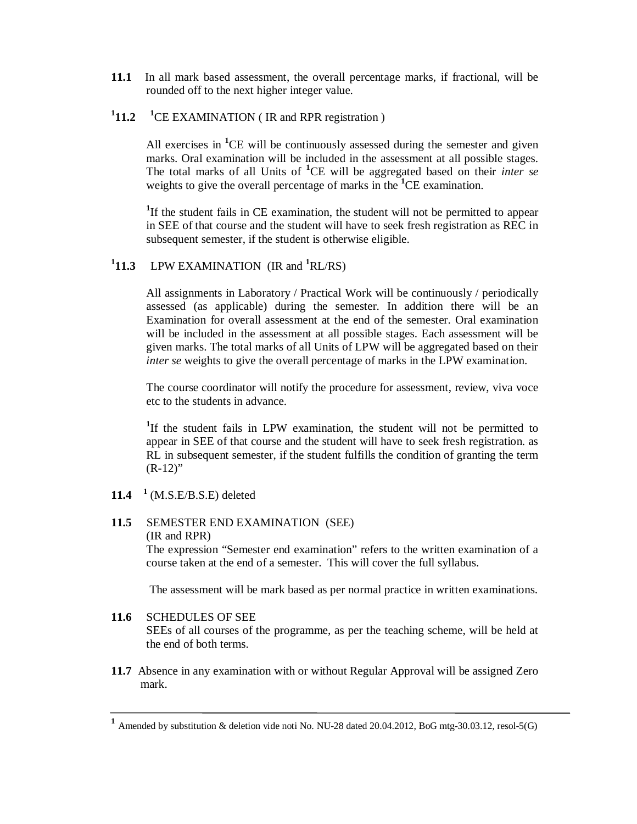- **11.1** In all mark based assessment, the overall percentage marks, if fractional, will be rounded off to the next higher integer value.
- <sup>1</sup>**11.2** <sup>1</sup>CE EXAMINATION (IR and RPR registration )

All exercises in <sup>1</sup>CE will be continuously assessed during the semester and given marks. Oral examination will be included in the assessment at all possible stages. The total marks of all Units of **<sup>1</sup>**CE will be aggregated based on their *inter se*  weights to give the overall percentage of marks in the **<sup>1</sup>**CE examination.

<sup>1</sup>If the student fails in CE examination, the student will not be permitted to appear in SEE of that course and the student will have to seek fresh registration as REC in subsequent semester, if the student is otherwise eligible.

**1 11.3** LPW EXAMINATION (IR and **<sup>1</sup>**RL/RS)

All assignments in Laboratory / Practical Work will be continuously / periodically assessed (as applicable) during the semester. In addition there will be an Examination for overall assessment at the end of the semester. Oral examination will be included in the assessment at all possible stages. Each assessment will be given marks. The total marks of all Units of LPW will be aggregated based on their *inter se* weights to give the overall percentage of marks in the LPW examination.

The course coordinator will notify the procedure for assessment, review, viva voce etc to the students in advance.

<sup>1</sup>If the student fails in LPW examination, the student will not be permitted to appear in SEE of that course and the student will have to seek fresh registration. as RL in subsequent semester, if the student fulfills the condition of granting the term  $(R-12)$ "

**11.4 1** (M.S.E/B.S.E) deleted

#### **11.5** SEMESTER END EXAMINATION (SEE) (IR and RPR)

The expression "Semester end examination" refers to the written examination of a course taken at the end of a semester. This will cover the full syllabus.

The assessment will be mark based as per normal practice in written examinations.

## **11.6** SCHEDULES OF SEE

SEEs of all courses of the programme, as per the teaching scheme, will be held at the end of both terms.

**11.7** Absence in any examination with or without Regular Approval will be assigned Zero mark.

**<sup>1</sup>** Amended by substitution & deletion vide noti No. NU-28 dated 20.04.2012, BoG mtg-30.03.12, resol-5(G)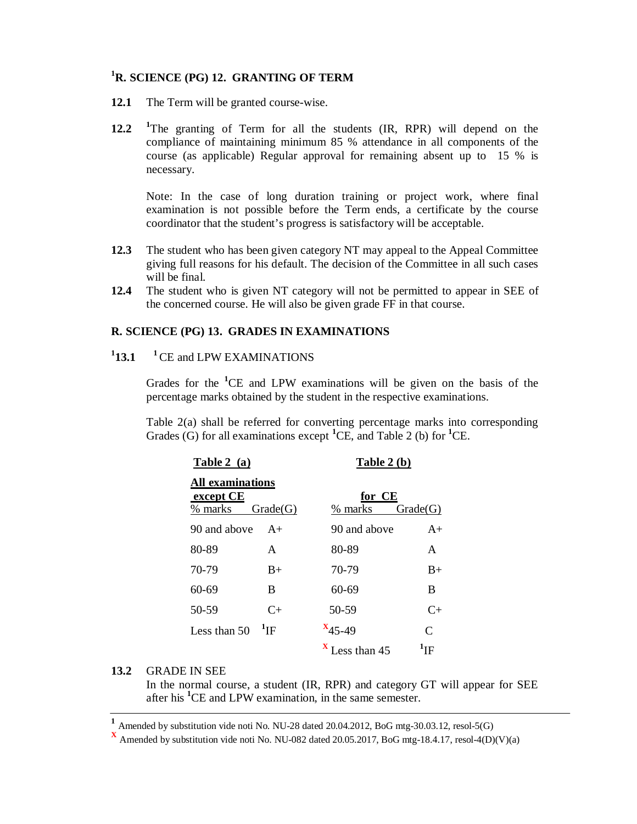## **<sup>1</sup>R. SCIENCE (PG) 12. GRANTING OF TERM**

- **12.1** The Term will be granted course-wise.
- **12.2 <sup>1</sup>**The granting of Term for all the students (IR, RPR) will depend on the compliance of maintaining minimum 85 % attendance in all components of the course (as applicable) Regular approval for remaining absent up to 15 % is necessary.

Note: In the case of long duration training or project work, where final examination is not possible before the Term ends, a certificate by the course coordinator that the student's progress is satisfactory will be acceptable.

- **12.3** The student who has been given category NT may appeal to the Appeal Committee giving full reasons for his default. The decision of the Committee in all such cases will be final.
- **12.4** The student who is given NT category will not be permitted to appear in SEE of the concerned course. He will also be given grade FF in that course.

## **R. SCIENCE (PG) 13. GRADES IN EXAMINATIONS**

#### $^{1}$ **13.1 13.1 <sup>1</sup>**CE and LPW EXAMINATIONS

Grades for the **<sup>1</sup>**CE and LPW examinations will be given on the basis of the percentage marks obtained by the student in the respective examinations.

Table 2(a) shall be referred for converting percentage marks into corresponding Grades (G) for all examinations except **<sup>1</sup>**CE, and Table 2 (b) for **<sup>1</sup>**CE.

| Table 2(a)                                      |              | <b>Table 2 (b)</b> |               |
|-------------------------------------------------|--------------|--------------------|---------------|
| <b>All examinations</b><br>except CE<br>% marks | Grade(G)     | for CE<br>% marks  | Grade(G)      |
| 90 and above                                    | $A+$         | 90 and above       | $A+$          |
| 80-89                                           | A            | 80-89              | A             |
| 70-79                                           | $B+$         | 70-79              | $B+$          |
| 60-69                                           | B            | 60-69              | B             |
| 50-59                                           | $C_{\pm}$    | 50-59              | $C+$          |
| Less than 50                                    | $\rm{^4}$ IF | $x_{45-49}$        | $\mathcal{C}$ |
|                                                 |              | Less than 45       | $\rm ^1IF$    |

## **13.2** GRADE IN SEE

In the normal course, a student (IR, RPR) and category GT will appear for SEE after his **<sup>1</sup>**CE and LPW examination, in the same semester.

**<sup>1</sup>** Amended by substitution vide noti No. NU-28 dated 20.04.2012, BoG mtg-30.03.12, resol-5(G)

**<sup>X</sup>** Amended by substitution vide noti No. NU-082 dated 20.05.2017, BoG mtg-18.4.17, resol-4(D)(V)(a)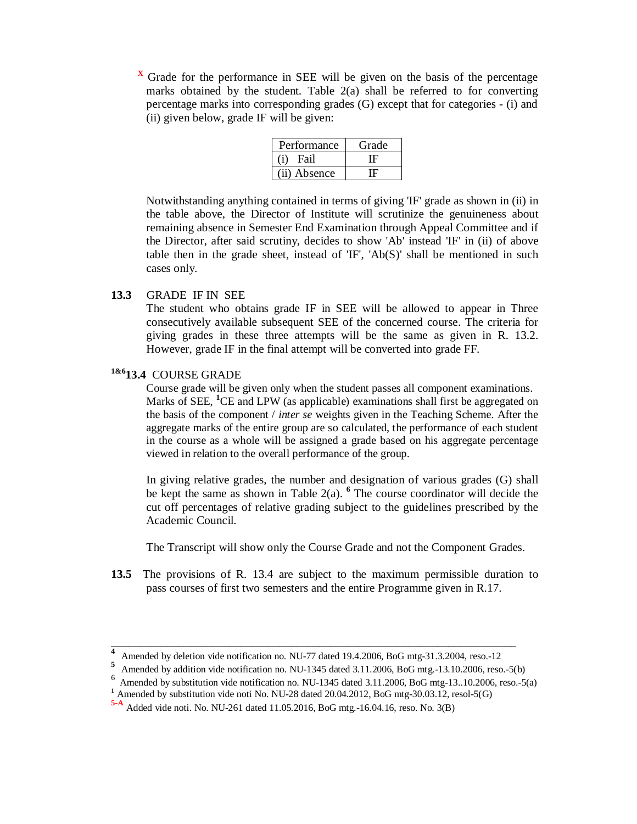Grade for the performance in SEE will be given on the basis of the percentage marks obtained by the student. Table 2(a) shall be referred to for converting percentage marks into corresponding grades (G) except that for categories - (i) and (ii) given below, grade IF will be given:

| Performance  | Grade |
|--------------|-------|
| Fail         |       |
| (ii) Absence |       |

Notwithstanding anything contained in terms of giving 'IF' grade as shown in (ii) in the table above, the Director of Institute will scrutinize the genuineness about remaining absence in Semester End Examination through Appeal Committee and if the Director, after said scrutiny, decides to show 'Ab' instead 'IF' in (ii) of above table then in the grade sheet, instead of 'IF', 'Ab(S)' shall be mentioned in such cases only.

## **13.3** GRADE IF IN SEE

The student who obtains grade IF in SEE will be allowed to appear in Three consecutively available subsequent SEE of the concerned course. The criteria for giving grades in these three attempts will be the same as given in R. 13.2. However, grade IF in the final attempt will be converted into grade FF.

## **1&613.4** COURSE GRADE

 Course grade will be given only when the student passes all component examinations. Marks of SEE, <sup>1</sup>CE and LPW (as applicable) examinations shall first be aggregated on the basis of the component / *inter se* weights given in the Teaching Scheme. After the aggregate marks of the entire group are so calculated, the performance of each student in the course as a whole will be assigned a grade based on his aggregate percentage viewed in relation to the overall performance of the group.

In giving relative grades, the number and designation of various grades (G) shall be kept the same as shown in Table 2(a). **<sup>6</sup>** The course coordinator will decide the cut off percentages of relative grading subject to the guidelines prescribed by the Academic Council.

The Transcript will show only the Course Grade and not the Component Grades.

**13.5** The provisions of R. 13.4 are subject to the maximum permissible duration to pass courses of first two semesters and the entire Programme given in R.17.

\_\_\_\_\_\_\_\_\_\_\_\_\_\_\_\_\_\_\_\_\_\_\_\_\_\_\_\_\_\_\_\_\_\_\_\_\_\_\_\_\_\_\_\_\_\_\_\_\_\_\_\_\_\_\_\_\_\_\_\_\_\_\_\_\_\_\_\_\_\_\_\_ **4** Amended by deletion vide notification no. NU-77 dated 19.4.2006, BoG mtg-31.3.2004, reso.-12

**<sup>5</sup>** Amended by addition vide notification no. NU-1345 dated 3.11.2006, BoG mtg.-13.10.2006, reso.-5(b)

<sup>6</sup> Amended by substitution vide notification no. NU-1345 dated 3.11.2006, BoG mtg-13..10.2006, reso.-5(a)

<sup>&</sup>lt;sup>1</sup> Amended by substitution vide noti No. NU-28 dated 20.04.2012, BoG mtg-30.03.12, resol-5(G)

**<sup>5-</sup>A** Added vide noti. No. NU-261 dated 11.05.2016, BoG mtg.-16.04.16, reso. No. 3(B)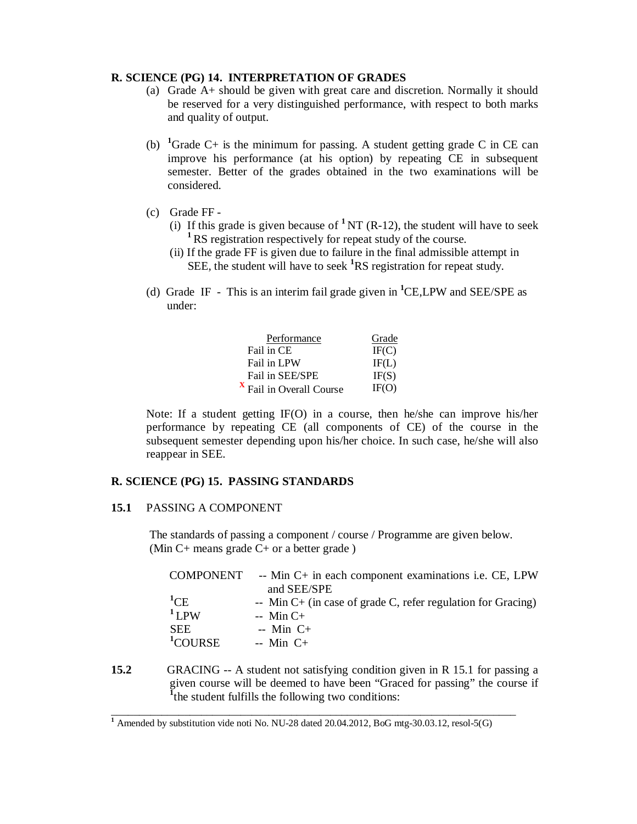### **R. SCIENCE (PG) 14. INTERPRETATION OF GRADES**

- (a) Grade A+ should be given with great care and discretion. Normally it should be reserved for a very distinguished performance, with respect to both marks and quality of output.
- (b) <sup>1</sup>Grade C+ is the minimum for passing. A student getting grade C in CE can improve his performance (at his option) by repeating CE in subsequent semester. Better of the grades obtained in the two examinations will be considered.
- (c) Grade FF
	- (i) If this grade is given because of <sup>1</sup>NT (R-12), the student will have to seek <sup>1</sup>RS registration respectively for repeat study of the course.
	- (ii) If the grade FF is given due to failure in the final admissible attempt in SEE, the student will have to seek <sup>1</sup>RS registration for repeat study.
- (d) Grade IF This is an interim fail grade given in **<sup>1</sup>**CE,LPW and SEE/SPE as under:

| Performance                         | Grade |
|-------------------------------------|-------|
| Fail in CE                          | IF(C) |
| Fail in LPW                         | IF(L) |
| Fail in SEE/SPE                     | IF(S) |
| <sup>x</sup> Fail in Overall Course | IF(O) |

Note: If a student getting IF(O) in a course, then he/she can improve his/her performance by repeating CE (all components of CE) of the course in the subsequent semester depending upon his/her choice. In such case, he/she will also reappear in SEE.

## **R. SCIENCE (PG) 15. PASSING STANDARDS**

#### **15.1** PASSING A COMPONENT

 The standards of passing a component / course / Programme are given below. (Min C+ means grade C+ or a better grade )

| COMPONENT                                                               | -- Min C+ in each component examinations <i>i.e.</i> CE, LPW<br>and SEE/SPE                                  |
|-------------------------------------------------------------------------|--------------------------------------------------------------------------------------------------------------|
| ${}^{1}$ CE<br>$1$ <sub>L</sub> PW<br><b>SEE</b><br><sup>1</sup> COURSE | -- Min $C$ + (in case of grade C, refer regulation for Gracing)<br>$-$ Min C+<br>$-$ Min C+<br>$-$ Min C $+$ |
|                                                                         |                                                                                                              |

**15.2** GRACING -- A student not satisfying condition given in R 15.1 for passing a given course will be deemed to have been "Graced for passing" the course if **1** the student fulfills the following two conditions:

\_\_\_\_\_\_\_\_\_\_\_\_\_\_\_\_\_\_\_\_\_\_\_\_\_\_\_\_\_\_\_\_\_\_\_\_\_\_\_\_\_\_\_\_\_\_\_\_\_\_\_\_\_\_\_\_\_\_\_\_\_\_\_\_\_\_\_\_\_\_\_\_

<sup>&</sup>lt;sup>1</sup> Amended by substitution vide noti No. NU-28 dated 20.04.2012, BoG mtg-30.03.12, resol-5(G)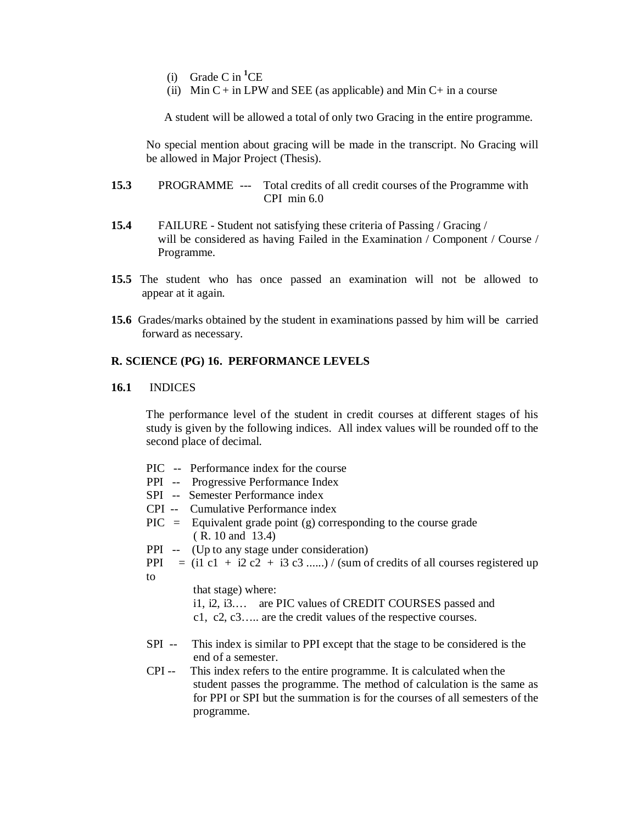- (i) Grade C in **<sup>1</sup>**CE
- (ii) Min  $C$  + in LPW and SEE (as applicable) and Min  $C$  + in a course

A student will be allowed a total of only two Gracing in the entire programme.

No special mention about gracing will be made in the transcript. No Gracing will be allowed in Major Project (Thesis).

- **15.3** PROGRAMME --- Total credits of all credit courses of the Programme with CPI min 6.0
- **15.4** FAILURE Student not satisfying these criteria of Passing / Gracing / will be considered as having Failed in the Examination / Component / Course / Programme.
- **15.5** The student who has once passed an examination will not be allowed to appear at it again.
- **15.6** Grades/marks obtained by the student in examinations passed by him will be carried forward as necessary.

## **R. SCIENCE (PG) 16. PERFORMANCE LEVELS**

#### **16.1** INDICES

 The performance level of the student in credit courses at different stages of his study is given by the following indices. All index values will be rounded off to the second place of decimal.

| Performance index for the course<br>PIC<br>--- |  |  |
|------------------------------------------------|--|--|
|------------------------------------------------|--|--|

- PPI -- Progressive Performance Index
- SPI -- Semester Performance index
- CPI -- Cumulative Performance index
- $\text{PIC} = \text{Equivalent grade point (g) corresponding to the course grade}$ ( R. 10 and 13.4)
- PPI -- (Up to any stage under consideration)
- PPI  $=$  (i1 c1 + i2 c2 + i3 c3 ......) / (sum of credits of all courses registered up to

that stage) where:

i1, i2, i3.… are PIC values of CREDIT COURSES passed and

c1, c2, c3….. are the credit values of the respective courses.

- SPI -- This index is similar to PPI except that the stage to be considered is the end of a semester.
- CPI -- This index refers to the entire programme. It is calculated when the student passes the programme. The method of calculation is the same as for PPI or SPI but the summation is for the courses of all semesters of the programme.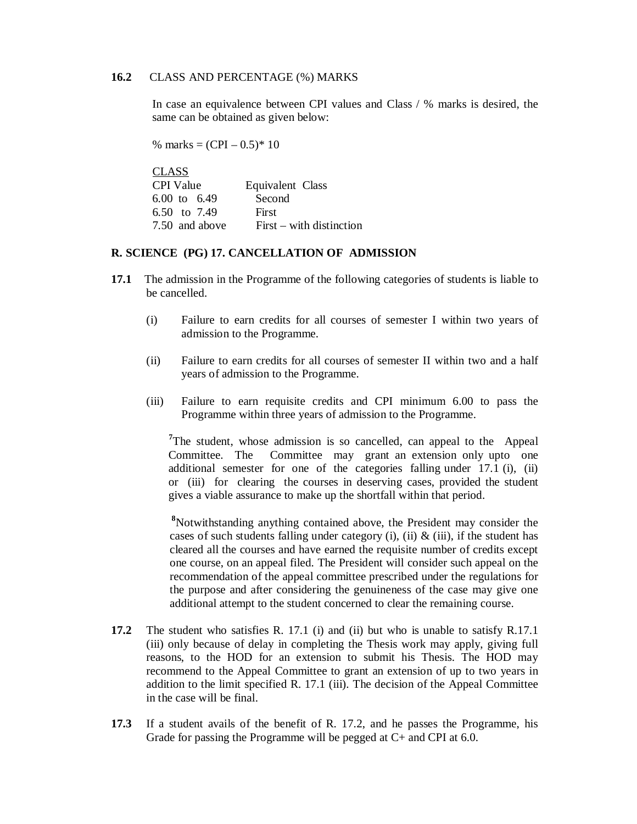## **16.2** CLASS AND PERCENTAGE (%) MARKS

In case an equivalence between CPI values and Class / % marks is desired, the same can be obtained as given below:

% marks =  $(CPI - 0.5)^* 10$ 

| <b>CLASS</b>     |                            |
|------------------|----------------------------|
| <b>CPI</b> Value | Equivalent Class           |
| 6.00 to 6.49     | Second                     |
| 6.50 to 7.49     | First                      |
| 7.50 and above   | $First - with distinction$ |

### **R. SCIENCE (PG) 17. CANCELLATION OF ADMISSION**

- **17.1** The admission in the Programme of the following categories of students is liable to be cancelled.
	- (i) Failure to earn credits for all courses of semester I within two years of admission to the Programme.
	- (ii) Failure to earn credits for all courses of semester II within two and a half years of admission to the Programme.
	- (iii) Failure to earn requisite credits and CPI minimum 6.00 to pass the Programme within three years of admission to the Programme.

<sup>7</sup>The student, whose admission is so cancelled, can appeal to the Appeal Committee. The Committee may grant an extension only upto one additional semester for one of the categories falling under 17.1 (i), (ii) or (iii) for clearing the courses in deserving cases, provided the student gives a viable assurance to make up the shortfall within that period.

**<sup>8</sup>**Notwithstanding anything contained above, the President may consider the cases of such students falling under category (i), (ii)  $\&$  (iii), if the student has cleared all the courses and have earned the requisite number of credits except one course, on an appeal filed. The President will consider such appeal on the recommendation of the appeal committee prescribed under the regulations for the purpose and after considering the genuineness of the case may give one additional attempt to the student concerned to clear the remaining course.

- **17.2** The student who satisfies R. 17.1 (i) and (ii) but who is unable to satisfy R.17.1 (iii) only because of delay in completing the Thesis work may apply, giving full reasons, to the HOD for an extension to submit his Thesis. The HOD may recommend to the Appeal Committee to grant an extension of up to two years in addition to the limit specified R. 17.1 (iii). The decision of the Appeal Committee in the case will be final.
- **17.3** If a student avails of the benefit of R. 17.2, and he passes the Programme, his Grade for passing the Programme will be pegged at C+ and CPI at 6.0.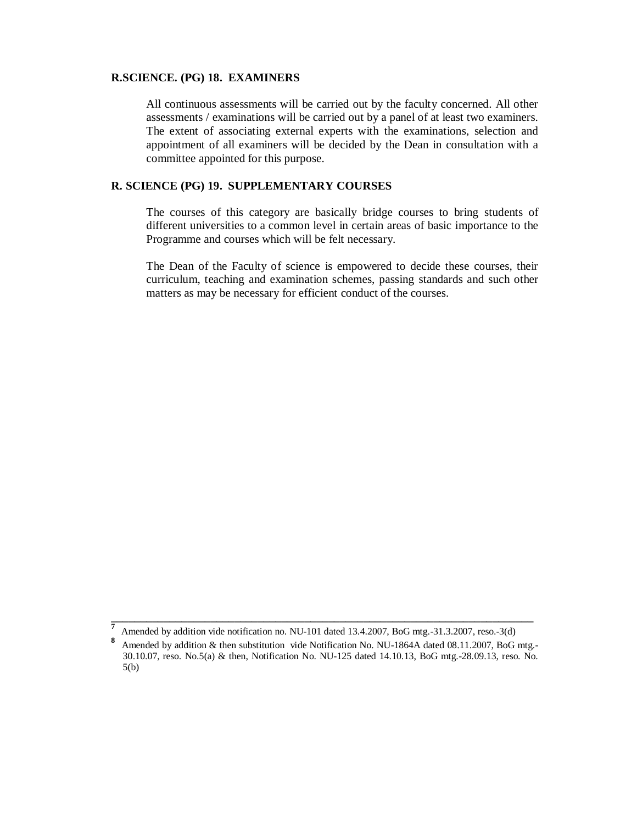#### **R.SCIENCE. (PG) 18. EXAMINERS**

 All continuous assessments will be carried out by the faculty concerned. All other assessments / examinations will be carried out by a panel of at least two examiners. The extent of associating external experts with the examinations, selection and appointment of all examiners will be decided by the Dean in consultation with a committee appointed for this purpose.

## **R. SCIENCE (PG) 19. SUPPLEMENTARY COURSES**

The courses of this category are basically bridge courses to bring students of different universities to a common level in certain areas of basic importance to the Programme and courses which will be felt necessary.

The Dean of the Faculty of science is empowered to decide these courses, their curriculum, teaching and examination schemes, passing standards and such other matters as may be necessary for efficient conduct of the courses.

**\_\_\_\_\_\_\_\_\_\_\_\_\_\_\_\_\_\_\_\_\_\_\_\_\_\_\_\_\_\_\_\_\_\_\_\_\_\_\_\_\_\_\_\_\_\_\_\_\_\_\_\_\_\_\_\_\_\_\_\_\_\_\_\_\_\_\_\_\_\_\_\_ 7** Amended by addition vide notification no. NU-101 dated 13.4.2007, BoG mtg.-31.3.2007, reso.-3(d)

**<sup>8</sup>** Amended by addition & then substitution vide Notification No. NU-1864A dated 08.11.2007, BoG mtg.- 30.10.07, reso. No.5(a) & then, Notification No. NU-125 dated 14.10.13, BoG mtg.-28.09.13, reso. No. 5(b)